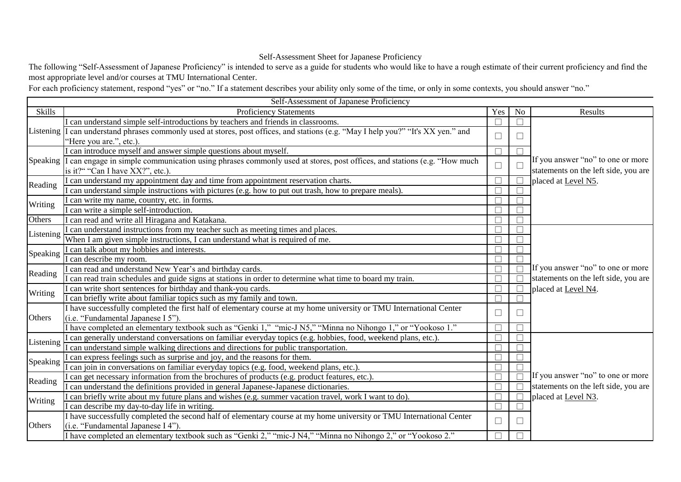## Self-Assessment Sheet for Japanese Proficiency

The following "Self-Assessment of Japanese Proficiency" is intended to serve as a guide for students who would like to have a rough estimate of their current proficiency and find the most appropriate level and/or courses at TMU International Center.

For each proficiency statement, respond "yes" or "no." If a statement describes your ability only some of the time, or only in some contexts, you should answer "no."

|           | Self-Assessment of Japanese Proficiency                                                                               |              |                |                                      |
|-----------|-----------------------------------------------------------------------------------------------------------------------|--------------|----------------|--------------------------------------|
| Skills    | <b>Proficiency Statements</b>                                                                                         | Yes          | N <sub>0</sub> | Results                              |
| Listening | I can understand simple self-introductions by teachers and friends in classrooms.                                     | $\Box$       |                |                                      |
|           | can understand phrases commonly used at stores, post offices, and stations (e.g. "May I help you?" "It's XX yen." and | $\Box$       |                |                                      |
|           | "Here you are.", etc.).                                                                                               |              |                |                                      |
|           | I can introduce myself and answer simple questions about myself.                                                      | П            |                |                                      |
| Speaking  | can engage in simple communication using phrases commonly used at stores, post offices, and stations (e.g. "How much  | $\Box$       |                | If you answer "no" to one or more    |
|           | is it?" "Can I have XX?", etc.).                                                                                      |              |                | statements on the left side, you are |
| Reading   | can understand my appointment day and time from appointment reservation charts.                                       | $\Box$       |                | placed at Level N5.                  |
|           | (can understand simple instructions with pictures (e.g. how to put out trash, how to prepare meals).                  | П            |                |                                      |
|           | I can write my name, country, etc. in forms.                                                                          | П            |                |                                      |
| Writing   | can write a simple self-introduction.                                                                                 | $\Box$       |                |                                      |
| Others    | I can read and write all Hiragana and Katakana.                                                                       |              |                |                                      |
|           | I can understand instructions from my teacher such as meeting times and places.                                       |              |                |                                      |
| Listening | When I am given simple instructions, I can understand what is required of me.                                         | П            |                |                                      |
|           | can talk about my hobbies and interests.                                                                              | $\mathbf{L}$ |                |                                      |
| Speaking  | can describe my room.                                                                                                 | П            |                |                                      |
|           | can read and understand New Year's and birthday cards.                                                                | $\Box$       |                | If you answer "no" to one or more    |
| Reading   | can read train schedules and guide signs at stations in order to determine what time to board my train.               | П            |                | statements on the left side, you are |
| Writing   | can write short sentences for birthday and thank-you cards.                                                           | П            |                | placed at Level N4.                  |
|           | I can briefly write about familiar topics such as my family and town.                                                 | П            |                |                                      |
|           | I have successfully completed the first half of elementary course at my home university or TMU International Center   |              |                |                                      |
| Others    | (i.e. "Fundamental Japanese I 5").                                                                                    | $\Box$       |                |                                      |
|           | Thave completed an elementary textbook such as "Genki 1," "mic-J N5," "Minna no Nihongo 1," or "Yookoso 1."           | $\Box$       |                |                                      |
| Listening | (can generally understand conversations on familiar everyday topics (e.g. hobbies, food, weekend plans, etc.).        | П            |                |                                      |
|           | can understand simple walking directions and directions for public transportation.                                    | $\Box$       |                |                                      |
|           | can express feelings such as surprise and joy, and the reasons for them.                                              | П            |                |                                      |
| Speaking  | can join in conversations on familiar everyday topics (e.g. food, weekend plans, etc.).                               |              |                |                                      |
| Reading   | can get necessary information from the brochures of products (e.g. product features, etc.).                           | П            |                | If you answer "no" to one or more    |
|           | can understand the definitions provided in general Japanese-Japanese dictionaries.                                    | П            |                | statements on the left side, you are |
| Writing   | can briefly write about my future plans and wishes (e.g. summer vacation travel, work I want to do).                  | П            |                | placed at Level N3.                  |
|           | I can describe my day-to-day life in writing.                                                                         | П            |                |                                      |
|           | I have successfully completed the second half of elementary course at my home university or TMU International Center  |              |                |                                      |
| Others    | (i.e. "Fundamental Japanese I 4").                                                                                    | $\Box$       |                |                                      |
|           | I have completed an elementary textbook such as "Genki 2," "mic-J N4," "Minna no Nihongo 2," or "Yookoso 2."          |              |                |                                      |